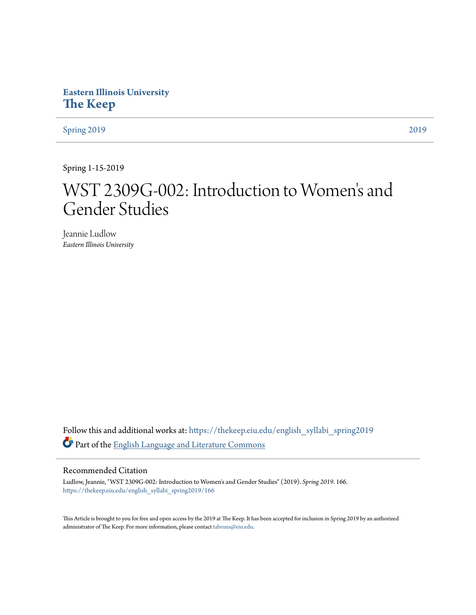# **Eastern Illinois University [The Keep](https://thekeep.eiu.edu?utm_source=thekeep.eiu.edu%2Fenglish_syllabi_spring2019%2F166&utm_medium=PDF&utm_campaign=PDFCoverPages)**

[Spring 2019](https://thekeep.eiu.edu/english_syllabi_spring2019?utm_source=thekeep.eiu.edu%2Fenglish_syllabi_spring2019%2F166&utm_medium=PDF&utm_campaign=PDFCoverPages) [2019](https://thekeep.eiu.edu/english_syllabi2019?utm_source=thekeep.eiu.edu%2Fenglish_syllabi_spring2019%2F166&utm_medium=PDF&utm_campaign=PDFCoverPages)

Spring 1-15-2019

# WST 2309G-002: Introduction to Women ' s and Gender Studies

Jeannie Ludlow *Eastern Illinois University*

Follow this and additional works at: [https://thekeep.eiu.edu/english\\_syllabi\\_spring2019](https://thekeep.eiu.edu/english_syllabi_spring2019?utm_source=thekeep.eiu.edu%2Fenglish_syllabi_spring2019%2F166&utm_medium=PDF&utm_campaign=PDFCoverPages) Part of the [English Language and Literature Commons](http://network.bepress.com/hgg/discipline/455?utm_source=thekeep.eiu.edu%2Fenglish_syllabi_spring2019%2F166&utm_medium=PDF&utm_campaign=PDFCoverPages)

## Recommended Citation

Ludlow, Jeannie, "WST 2309G-002: Introduction to Women's and Gender Studies" (2019). *Spring 2019*. 166. [https://thekeep.eiu.edu/english\\_syllabi\\_spring2019/166](https://thekeep.eiu.edu/english_syllabi_spring2019/166?utm_source=thekeep.eiu.edu%2Fenglish_syllabi_spring2019%2F166&utm_medium=PDF&utm_campaign=PDFCoverPages)

This Article is brought to you for free and open access by the 2019 at The Keep. It has been accepted for inclusion in Spring 2019 by an authorized administrator of The Keep. For more information, please contact [tabruns@eiu.edu.](mailto:tabruns@eiu.edu)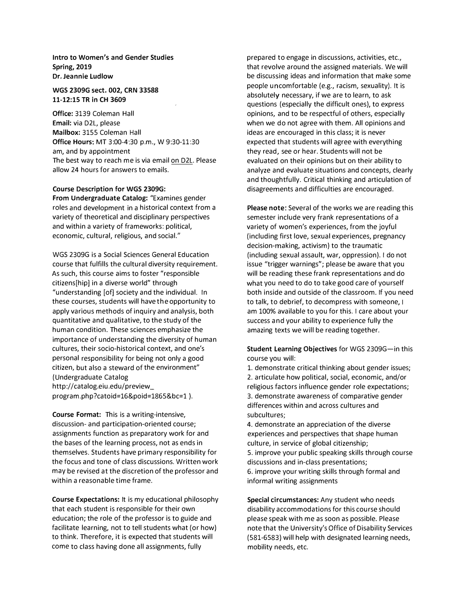Intro to Women's and Gender Studies Spring, 2019 Dr. Jeannie Ludlow

#### WGS 2309G sect. 002, CRN 33588 11-12:15 TR in CH 3609

Office: 3139 Coleman Hall Email: via D2L, please Mailbox: 3155 Coleman Hall Office Hours: MT 3:00-4:30 p.m., W 9:30-11:30 am, and by appointment The best way to reach me is via email on D2L. Please allow 24 hours for answers to emails.

### Course Description for WGS 2309G:

From Undergraduate Catalog: "Examines gender roles and development in a historical context from a variety of theoretical and disciplinary perspectives and within a variety of frameworks: political, economic, cultural, religious, and social."

WGS 2309G is a Social Sciences General Education course that fulfills the cultural diversity requirement. As such, this course aims to foster "responsible citizens[hip] in a diverse world" through "understanding [of] society and the individual. In these courses, students will have the opportunity to apply various methods of inquiry and analysis, both quantitative and qualitative, to the study of the human condition. These sciences emphasize the importance of understanding the diversity of human cultures, their socio-historical context, and one's personal responsibility for being not only a good citizen, but also a steward of the environment" (Undergraduate Catalog http://catalog.eiu.edu/preview\_ program.php?catoid=16&poid=1865&bc=l ).

Course Format: This is a writing-intensive, discussion- and participation-oriented course; assignments function as preparatory work for and the bases of the learning process, not as ends in themselves. Students have primary responsibility for the focus and tone of class discussions. Written work may be revised at the discretion of the professor and within a reasonable time frame.

Course Expectations: It is my educational philosophy that each student is responsible for their own education; the role of the professor is to guide and facilitate learning, not to tell students what (or how) to think. Therefore, it is expected that students will come to class having done all assignments, fully

prepared to engage in discussions, activities, etc., that revolve around the assigned materials. We will be discussing ideas and information that make some peop!e uncomfortab!e (e.g., racism, sexuality}. It is absolutely necessary, if we are to learn, to ask questions (especially the difficult ones), to express opinions, and to be respectful of others, especially when we do not agree with them. All opinions and ideas are encouraged in this class; it is never expected that students will agree with everything they read, see or hear. Students will not be evaluated on their opinions but on their ability to analyze and evaluate situations and concepts, clearly and thoughtfully. Critical thinking and articulation of disagreements and difficulties are encouraged.

Please note: Several of the works we are reading this semester include very frank representations of a variety of women's experiences, from the joyful (including first love, sexual experiences, pregnancy decision-making, activism) to the traumatic (including sexual assault, war, oppression). I do not issue "trigger warnings"; please be aware that you will be reading these frank representations and do what you need to do to take good care of yourself both inside and outside of the classroom. If you need to talk, to debrief, to decompress with someone, I am 100% available to you for this. I care about your success and your ability to experience fully the amazing texts we will be reading together.

Student Learning Objectives for WGS 2309G-in this course you will:

1. demonstrate critical thinking about gender issues; 2. articulate how political, social, economic, and/or religious factors influence gender role expectations; 3. demonstrate awareness of comparative gender differences within and across cultures and subcultures;

4. demonstrate an appreciation of the diverse experiences and perspectives that shape human culture, in service of global citizenship; 5. improve your public speaking skills through course discussions and in-class presentations; 6. improve your writing skills through formal and informal writing assignments

Special circumstances: Any student who needs disability accommodations for this course should please speak with me as soon as possible. Please note that the University's Office of Disability Services (581-6583) will help with designated learning needs, mobility needs, etc.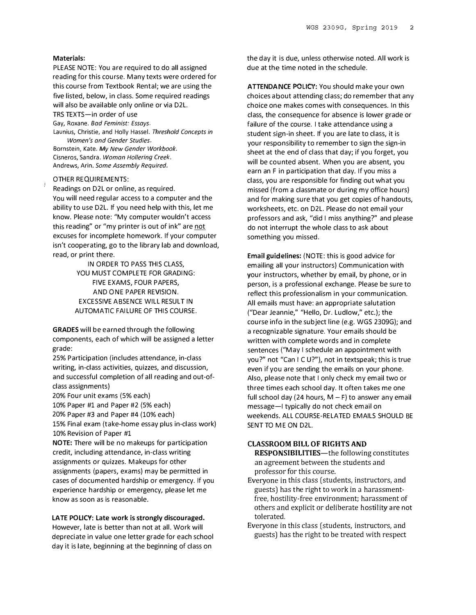#### Materials:

PLEASE NOTE: You are required to do all assigned reading for this course. Many texts were ordered for this course from Textbook Rental; we are using the five listed, below, in class. Some required readings will also be available only online or via D2L.

TRS TEXTS-in order of use

Gay, Roxane. Bad Feminist: Essays.

Launius, Christie, and Holly Hassel. Threshold Concepts in Women's and Gender Studies.

Bornstein, Kate. My New Gender Workbook. Cisneros, Sandra. Woman Hollering Creek. Andrews, Arin. Some Assembly Required.

#### OTHER REQUIREMENTS:

Readings on D2L or online, as required. You will need regular access to a computer and the ability to use D2L. If you need help with this, let me know. Please note: "My computer wouldn't access this reading" or "my printer is out of ink" are not excuses for incomplete homework. If your computer isn't cooperating, go to the library lab and download, read, or print there.

> IN ORDER TO PASS THIS CLASS, YOU MUST COMPLETE FOR GRADING: FIVE EXAMS, FOUR PAPERS, AND ONE PAPER REVISION. EXCESSIVE ABSENCE WILL RESULT IN AUTOMATIC FAILURE OF THIS COURSE.

GRADES will be earned through the following components, each of which will be assigned a letter grade:

25% Participation (includes attendance, in-class writing, in-class activities, quizzes, and discussion, and successful completion of all reading and out-ofclass assignments)

20% Four unit exams (5% each)

10% Paper #1 and Paper #2 (5% each)

20% Paper #3 and Paper #4 (10% each)

15% Final exam (take-home essay plus in-class work) 10% Revision of Paper #1

NOTE: There will be no makeups for participation credit, including attendance, in-class writing assignments or quizzes. Makeups for other assignments (papers, exams) may be permitted in cases of documented hardship or emergency. If you experience hardship or emergency, please let me know as soon as is reasonable.

#### LATE POLICY: Late work is strongly discouraged.

However, late is better than not at all. Work will depreciate in value one letter grade for each school day it is late, beginning at the beginning of class on

the day it is due, unless otherwise noted. All work is due at the time noted in the schedule.

ATTENDANCE POLICY: You should make your own choices about attending class; do remember that any choice one makes comes with consequences. In this class, the consequence for absence is lower grade or failure of the course. I take attendance using a student sign-in sheet. If you are late to class, it is your responsibility to remember to sign the sign-in sheet at the end of class that day; if you forget, you will be counted absent. When you are absent, you earn an F in participation that day. If you miss a class, you are responsible for finding out what you missed (from a classmate or during my office hours) and for making sure that you get copies of handouts, worksheets, etc. on D2L. Please do not email your professors and ask, "did I miss anything?" and please do not interrupt the whole class to ask about something you missed.

Email guidelines: (NOTE: this is good advice for emailing all your instructors) Communication with your instructors, whether by email, by phone, or in person, is a professional exchange. Please be sure to reflect this professionalism in your communication. All emails must have: an appropriate salutation ("Dear Jeannie," "Hello, Dr. Ludlow," etc.); the course info in the subject line (e.g. WGS 2309G); and a recognizable signature. Your emails should be written with complete words and in complete sentences ("May I schedule an appointment with you?" not "Can I C U?"), not in textspeak; this is true even if you are sending the emails on your phone. Also, please note that I only check my email two or three times each school day. It often takes me one full school day (24 hours,  $M - F$ ) to answer any email message-I typically do not check email on weekends. ALL COURSE-RELATED EMAILS SHOULD BE SENT TO ME ON D2L.

#### CLASSROOM BILL OF RIGHTS AND

**RESPONSIBILITIES**—the following constitutes an agreement between the students and professor for this course.

- Everyone in this class [students, instructors, and guests) has the right to work in a harassmentfree, hostility-free environment; harassment of others and explicit or deliberate hostility are not tolerated.
- Everyone in this class [students, instructors, and guests) has the right to be treated with respect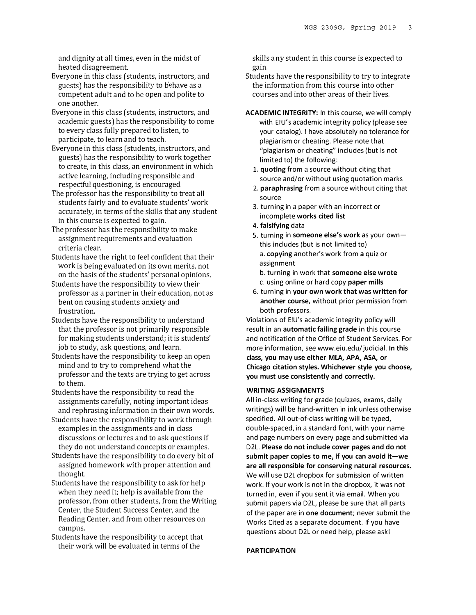and dignity at all times, even in the midst of heated disagreement.

- Everyone in this class (students, instructors, and guests] has the responsibility to behave as a competent adult and to be open and polite to one another.
- Everyone in this class (students, instructors, and academic guests] has the responsibility to come to every class fully prepared to listen, to participate, to learn and to teach.
- Everyone in this class (students, instructors, and guests) has the responsibility to work together to create, in this class, an environment in which active learning, including responsible and respectful questioning, is encouraged.
- The professor has the responsibility to treat all students fairly and to evaluate students' work accurately, in terms of the skills that any student in this course is expected to gain.
- The professor has the responsibility to make assignment requirements and evaluation criteria clear.
- Students have the right to feel confident that their work is being evaluated on its own merits, not on the basis of the students' personal opinions.
- Students have the responsibility to view their professor as a partner in their education, not as bent on causing students anxiety and frustration.
- Students have the responsibility to understand that the professor is not primarily responsible for making students understand; it is students' job to study, ask questions, and learn.
- Students have the responsibility to keep an open mind and to try to comprehend what the professor and the texts are trying to get across to them.
- Students have the responsibility to read the assignments carefully, noting important ideas and rephrasing information in their own words.
- Students have the responsibility to work through examples in the assignments and in class discussions or lectures and to ask questions if they do not understand concepts or examples.
- Students have the responsibility to do every bit of assigned homework with proper attention and thought.
- Students have the responsibility to ask for help when they need it; help is available from the professor, from other students, from the Writing Center, the Student Success Center, and the Reading Center, and from other resources on campus.
- Students have the responsibility to accept that their work will be evaluated in terms of the

skills any student in this course is expected to gain.

- Students have the responsibility to try to integrate the information from this course into other courses and into other areas of their lives.
- ACADEMIC INTEGRITY: In this course, we will comply with EIU's academic integrity policy (please see your catalog). I have absolutely no tolerance for plagiarism or cheating. Please note that "plagiarism or cheating" includes (but is not limited to) the following:
	- 1. quoting from a source without citing that source and/or without using quotation marks
	- 2. paraphrasing from a source without citing that source
	- 3. turning in a paper with an incorrect or incomplete works cited list
	- 4. falsifying data
	- 5. turning in someone else's work as your ownthis includes (but is not limited to) a. copying another's work from a quiz or assignment
		- b. turning in work that someone else wrote c. using online or hard copy paper mills
	- 6. turning in your own work that was written for another course, without prior permission from both professors.

Violations of EIU's academic integrity policy will result in an automatic failing grade in this course and notification of the Office of Student Services. For more information, see www.eiu.edu/judicial. In this class, you may use either MlA, APA, ASA, or Chicago citation styles. Whichever style you choose, you must use consistently and correctly.

### WRITING ASSIGNMENTS

All in-class writing for grade (quizzes, exams, daily writings} will be hand-written in ink unless otherwise specified. All out-of-class writing will be typed, double-spaced, in a standard font, with your name and page numbers on every page and submitted via D2L. Please do not include cover pages and do not submit paper copies to me, if you can avoid it-we are all responsible for conserving natural resources. We will use D2L dropbox for submission of written work. If your work is not in the dropbox, it was not turned in, even if you sent it via email. When you submit papers via D2L, please be sure that all parts of the paper are in one document; never submit the Works Cited as a separate document. If you have questions about D2L or need help, please ask!

#### PARTICIPATION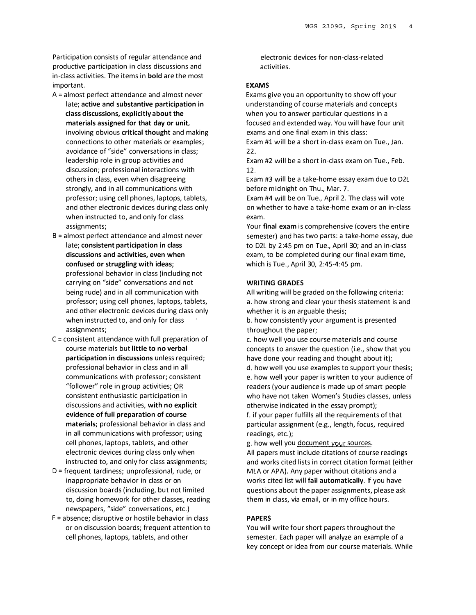Participation consists of regular attendance and productive participation in class discussions and in-class activities. The items in bold are the most important.

- $A =$  almost perfect attendance and almost never late; active and substantive participation in class discussions, explicitly about the materials assigned for that day or unit, involving obvious critical thought and making connections to other materials or examples; avoidance of "side" conversations in class; leadership role in group activities and discussion; professional interactions with others in class, even when disagreeing strongly, and in all communications with professor; using cell phones, laptops, tablets, and other electronic devices during class only when instructed to, and only for class assignments;
- $B =$  almost perfect attendance and almost never late; consistent participation in class discussions and activities, even when confused or struggling with ideas; professional behavior in class (including not carrying on "side" conversations and not being rude) and in all communication with professor; using cell phones, laptops, tablets, and other electronic devices during class only when instructed to, and only for class assignments;
- $C =$  consistent attendance with full preparation of course materials but little to no verbal participation in discussions unless required; professional behavior in class and in all communications with professor; consistent "follower" role in group activities; OR consistent enthusiastic participation in discussions and activities, with no explicit evidence of full preparation of course materials; professional behavior in class and in all communications with professor; using cell phones, laptops, tablets, and other electronic devices during class only when instructed to, and only for class assignments;
- $D$  = frequent tardiness; unprofessional, rude, or inappropriate behavior in class or on discussion boards (including, but not limited to, doing homework for other classes, reading newspapers, "side" conversations, etc.)
- $F =$  absence; disruptive or hostile behavior in class or on discussion boards; frequent attention to cell phones, laptops, tablets, and other

electronic devices for non-class-related activities.

#### EXAMS

Exams give you an opportunity to show off your understanding of course materials and concepts when you to answer particular questions in a focused and extended way. You will have four unit exams and one final exam in this class:

Exam #1 will be a short in-class exam on Tue., Jan. 22.

Exam #2 will be a short in-class exam on Tue., Feb. 12.

Exam #3 will be a take-home essay exam due to D2L before midnight on Thu., Mar. 7.

Exam #4 will be on Tue., April 2. The class will vote on whether to have a take-home exam or an in-class exam.

Your final exam is comprehensive (covers the entire semester) and has two parts: a take-home essay, due to D2L by 2:45 pm on Tue., April 30; and an in-class exam, to be completed during our final exam time, which is Tue., April 30, 2:45-4:45 pm.

#### WRITING GRADES

All writing will be graded on the following criteria: a. how strong and clear your thesis statement is and whether it is an arguable thesis;

b. how consistently your argument is presented throughout the paper;

c. how well you use course materials and course concepts to answer the question (i.e., show that you have done your reading and thought about it); d. how well you use examples to support your thesis; e. how well your paper is written to your audience of readers (your audience is made up of smart people who have not taken Women's Studies classes, unless otherwise indicated in the essay prompt); f. if your paper fulfills all the requirements of that particular assignment (e.g., length, focus, required

readings, etc.); g. how well you document your sources.

All papers must include citations of course readings and works cited lists in correct citation format (either MLA or APA). Any paper without citations and a works cited list will fail automatically. If you have questions about the paper assignments, please ask them in class, via email, or in my office hours.

#### PAPERS

You will write four short papers throughout the semester. Each paper will analyze an example of a key concept or idea from our course materials. While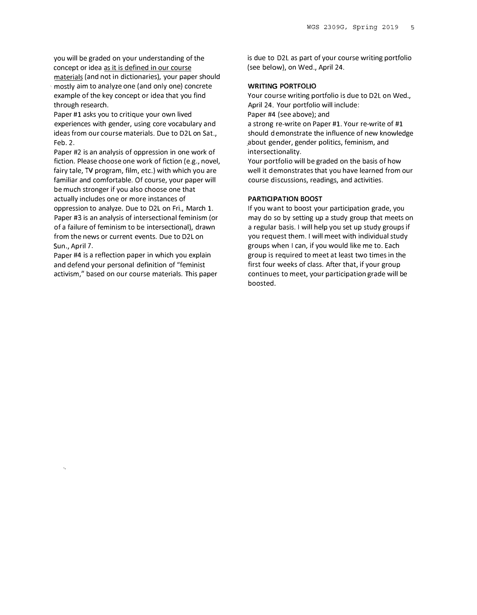you will be graded on your understanding of the concept or idea as it is defined in our course materials (and not in dictionaries), your paper should

mostly aim to analyze one (and only one) concrete example of the key concept or idea that you find through research.

Paper #1 asks you to critique your own lived experiences with gender, using core vocabulary and ideas from our course materials. Due to D2L on Sat., Feb. 2.

Paper #2 is an analysis of oppression in one work of fiction. Please choose one work of fiction (e.g., novel, fairy tale, TV program, film, etc.) with which you are familiar and comfortable. Of course, your paper will be much stronger if you also choose one that actually includes one or more instances of oppression to analyze. Due to D2L on Fri., March 1. Paper #3 is an analysis of intersectional feminism (or of a failure of feminism to be intersectional), drawn from the news or current events. Due to D2L on Sun., April 7.

Paper #4 is a reflection paper in which you explain and defend your personal definition of "feminist activism/' based on our course materials. This paper is due to D2L as part of your course writing portfolio (see below), on Wed., April 24.

#### WRIT!NG PORTFOLIO

Your course writing portfolio is due to D2L on Wed., April 24. Your portfolio will include: Paper #4 (see above); and a strong re-write on Paper #1. Your re-write of #1 should demonstrate the influence of new knowledge

\_about gender, gender politics, feminism, and intersectionality. Your portfolio will be graded on the basis of how

well it demonstrates that you have learned from our course discussions, readings, and activities.

#### PARTICIPATION BOOST

If you want to boost your participation grade, you may do so by setting up a study group that meets on a regular basis. I will help you set up study groups if you request them. I will meet with individual study groups when I can, if you would like me to. Each group is required to meet at least two times in the first four weeks of class. After that, if your group continues to meet, your participation grade will be boosted.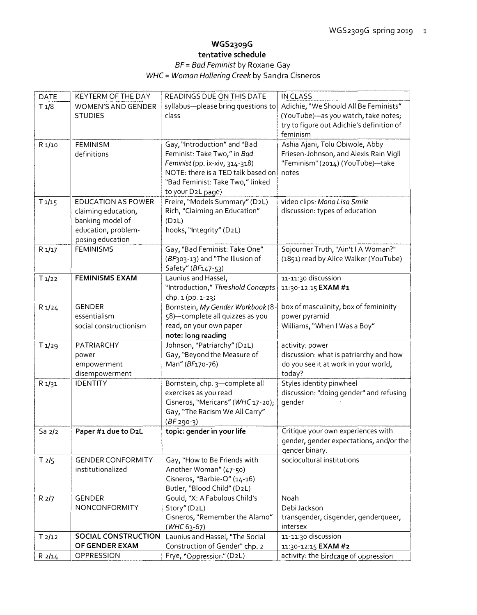## WGS2309G tentative schedule BF = Bad Feminist by Roxane Gay

## WHC = Woman Hollering Creek by Sandra Cisneros

| <b>DATE</b>        | KEYTERM OF THE DAY         | READINGS DUE ON THIS DATE           | <b>INCLASS</b>                            |
|--------------------|----------------------------|-------------------------------------|-------------------------------------------|
| T1/8               | <b>WOMEN'S AND GENDER</b>  | syllabus--please bring questions to | Adichie, "We Should All Be Feminists"     |
|                    | <b>STUDIES</b>             | class                               | (YouTube)-as you watch, take notes;       |
|                    |                            |                                     | try to figure out Adichie's definition of |
|                    |                            |                                     | feminism                                  |
| R 1/10             | <b>FEMINISM</b>            | Gay, "Introduction" and "Bad        | Ashia Ajani, Tolu Obiwole, Abby           |
|                    | definitions                | Feminist: Take Two," in Bad         | Friesen-Johnson, and Alexis Rain Vigil    |
|                    |                            | Feminist (pp. ix-xiv, 314-318)      | "Feminism" (2014) (YouTube)-take          |
|                    |                            | NOTE: there is a TED talk based on  | notes                                     |
|                    |                            | "Bad Feminist: Take Two," linked    |                                           |
|                    |                            | to your D2L page)                   |                                           |
| T1/15              | <b>EDUCATION AS POWER</b>  | Freire, "Models Summary" (D2L)      | video clips: Mona Lisa Smile              |
|                    | claiming education,        | Rich, "Claiming an Education"       | discussion: types of education            |
|                    | banking model of           | (D2L)                               |                                           |
|                    | education, problem-        | hooks, "Integrity" (D2L)            |                                           |
|                    | posing education           |                                     |                                           |
| R1/17              | <b>FEMINISMS</b>           | Gay, "Bad Feminist: Take One"       | Sojourner Truth, "Ain't I A Woman?"       |
|                    |                            | (BF303-13) and "The Illusion of     | (1851) read by Alice Walker (YouTube)     |
|                    |                            | Safety" (BF147-53)                  |                                           |
| T1/22              | <b>FEMINISMS EXAM</b>      | Launius and Hassel,                 | 11-11:30 discussion                       |
|                    |                            | "Introduction," Threshold Concepts  | 11:30-12:15 EXAM #1                       |
|                    |                            | chp. 1 (pp. 1-23)                   |                                           |
| R1/24              | <b>GENDER</b>              | Bornstein, My Gender Workbook (8    | box of masculinity, box of femininity     |
|                    | essentialism               | 58)-complete all quizzes as you     | power pyramid                             |
|                    | social constructionism     | read, on your own paper             | Williams, "When I Was a Boy"              |
|                    |                            | note: long reading                  |                                           |
| T1/29              | PATRIARCHY                 | Johnson, "Patriarchy" (D2L)         | activity: power                           |
|                    | power                      | Gay, "Beyond the Measure of         | discussion: what is patriarchy and how    |
|                    | empowerment                | Man" (BF170-76)                     | do you see it at work in your world,      |
|                    | disempowerment             |                                     | today?                                    |
| R 1/31             | <b>IDENTITY</b>            | Bornstein, chp. 3-complete all      | Styles identity pinwheel                  |
|                    |                            | exercises as you read               | discussion: "doing gender" and refusing   |
|                    |                            | Cisneros, "Mericans" (WHC 17-20);   | gender                                    |
|                    |                            | Gay, "The Racism We All Carry"      |                                           |
|                    |                            | $(BF 290-3)$                        |                                           |
| Sa <sub>2</sub> /2 | Paper #1 due to D2L        | topic: gender in your life          | Critique your own experiences with        |
|                    |                            |                                     | qender, gender expectations, and/or the   |
|                    |                            |                                     | gender binary.                            |
| T2/5               | <b>GENDER CONFORMITY</b>   | Gay, "How to Be Friends with        | sociocultural institutions                |
|                    | institutionalized          | Another Woman" (47-50)              |                                           |
|                    |                            | Cisneros, "Barbie-Q" (14-16)        |                                           |
|                    |                            | Butler, "Blood Child" (D2L)         |                                           |
| R2/7               | <b>GENDER</b>              | Gould, "X: A Fabulous Child's       | Noah                                      |
|                    | NONCONFORMITY              | Story" (D2L)                        | Debi Jackson                              |
|                    |                            | Cisneros, "Remember the Alamo"      | transgender, cisgender, genderqueer,      |
|                    |                            | $(WHC 63-67)$                       | intersex                                  |
| T2/12              | <b>SOCIAL CONSTRUCTION</b> | Launius and Hassel, "The Social     | 11-11:30 discussion                       |
|                    | OF GENDER EXAM             | Construction of Gender" chp. 2      | 11:30-12:15 EXAM #2                       |
| R2/14              | OPPRESSION                 | Frye, "Oppression" (D2L)            | activity: the birdcage of oppression      |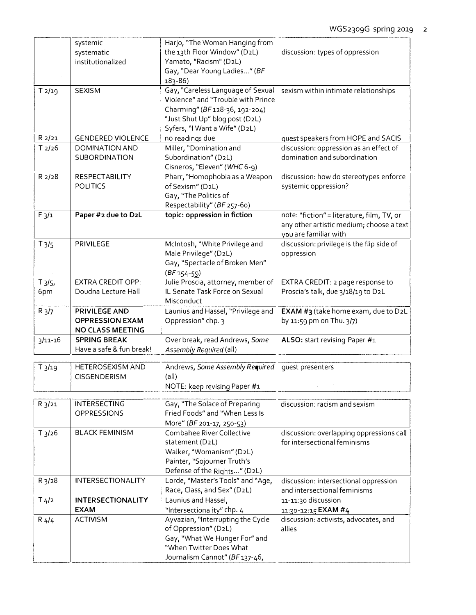|                       | systemic<br>systematic<br>institutionalized                        | Harjo, "The Woman Hanging from<br>the 13th Floor Window" (D2L)<br>Yamato, "Racism" (D2L)<br>Gay, "Dear Young Ladies" (BF<br>$183 - 86$                                       | discussion: types of oppression                                                                                 |
|-----------------------|--------------------------------------------------------------------|------------------------------------------------------------------------------------------------------------------------------------------------------------------------------|-----------------------------------------------------------------------------------------------------------------|
| T2/19                 | <b>SEXISM</b>                                                      | Gay, "Careless Language of Sexual<br>Violence" and "Trouble with Prince<br>Charming" (BF 128-36, 192-204)<br>"Just Shut Up" blog post (D2L)<br>Syfers, "I Want a Wife" (D2L) | sexism within intimate relationships                                                                            |
| R 2/21                | <b>GENDERED VIOLENCE</b>                                           | no readings due                                                                                                                                                              | quest speakers from HOPE and SACIS                                                                              |
| T2/26                 | DOMINATION AND<br><b>SUBORDINATION</b>                             | Miller, "Domination and<br>Subordination" (D2L)<br>Cisneros, "Eleven" (WHC 6-9)                                                                                              | discussion: oppression as an effect of<br>domination and subordination                                          |
| R 2/28                | <b>RESPECTABILITY</b><br><b>POLITICS</b>                           | Pharr, "Homophobia as a Weapon<br>of Sexism" (D2L)<br>Gay, "The Politics of<br>Respectability" (BF 257-60)                                                                   | discussion: how do stereotypes enforce<br>systemic oppression?                                                  |
| $F_3/1$               | Paper #2 due to D2L                                                | topic: oppression in fiction                                                                                                                                                 | note: "fiction" = literature, film, TV, or<br>any other artistic medium; choose a text<br>you are familiar with |
| $T_3/5$               | PRIVILEGE                                                          | McIntosh, "White Privilege and<br>Male Privilege" (D2L)<br>Gay, "Spectacle of Broken Men"<br>$(BF154-59)$                                                                    | discussion: privilege is the flip side of<br>oppression                                                         |
| $T_3/5$<br>6pm        | <b>EXTRA CREDIT OPP:</b><br>Doudna Lecture Hall                    | Julie Proscia, attorney, member of<br>IL Senate Task Force on Sexual<br>Misconduct                                                                                           | EXTRA CREDIT: 2 page response to<br>Proscia's talk, due 3/18/19 to D2L                                          |
| R <sub>3</sub> /7     | <b>PRIVILEGE AND</b><br><b>OPPRESSION EXAM</b><br>NO CLASS MEETING | Launius and Hassel, "Privilege and<br>Oppression" chp. 3                                                                                                                     | EXAM #3 (take home exam, due to D2L<br>by 11:59 pm on Thu. 3/7)                                                 |
| $3/11 - 16$           | <b>SPRING BREAK</b><br>Have a safe & fun break!                    | Over break, read Andrews, Some<br>Assembly Required (all)                                                                                                                    | ALSO: start revising Paper #1                                                                                   |
| $T_3/19$              | <b>HETEROSEXISM AND</b><br><b>CISGENDERISM</b>                     | Andrews, Some Assembly Required<br>$(\text{all})$<br>NOTE: keep revising Paper #1                                                                                            | guest presenters                                                                                                |
| R <sub>3</sub> /21    | <b>INTERSECTING</b><br><b>OPPRESSIONS</b>                          | Gay, "The Solace of Preparing<br>Fried Foods" and "When Less Is<br>More" (BF 201-17, 250-53)                                                                                 | discussion: racism and sexism                                                                                   |
| $T_3$ / <sub>26</sub> | <b>BLACK FEMINISM</b>                                              | Combahee River Collective<br>statement (D2L)<br>Walker, "Womanism" (D2L)<br>Painter, "Sojourner Truth's<br>Defense of the Rights" (D2L)                                      | discussion: overlapping oppressions call<br>for intersectional feminisms                                        |
| $R_3/28$              | <b>INTERSECTIONALITY</b>                                           | Lorde, "Master's Tools" and "Age,<br>Race, Class, and Sex" (D2L)                                                                                                             | discussion: intersectional oppression<br>and intersectional feminisms                                           |
| T/4/2                 | <b>INTERSECTIONALITY</b><br><b>EXAM</b>                            | Launius and Hassel,<br>"Intersectionality" chp. 4                                                                                                                            | 11-11:30 discussion<br>11:30-12:15 EXAM #4                                                                      |
| $R$ 4/4               | <b>ACTIVISM</b>                                                    | Ayvazian, "Interrupting the Cycle<br>of Oppression" (D2L)<br>Gay, "What We Hunger For" and<br>"When Twitter Does What<br>Journalism Cannot" (BF 137-46,                      | discussion: activists, advocates, and<br>allies                                                                 |